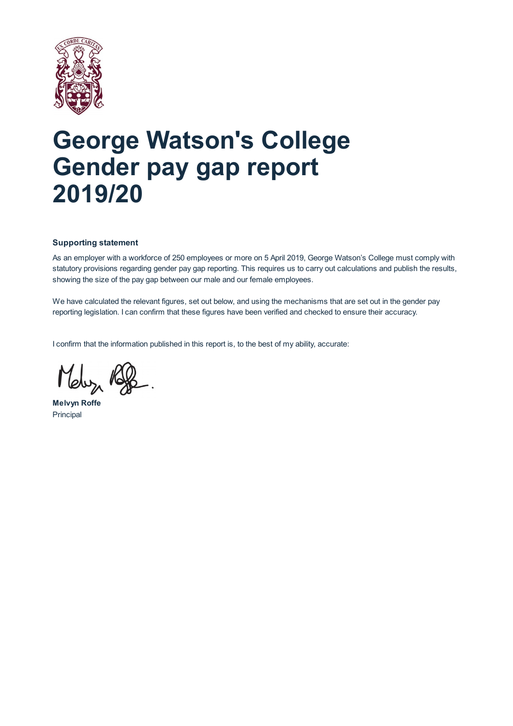

# **George Watson's College Gender pay gap report 2019/20**

# **Supporting statement**

As an employer with a workforce of 250 employees or more on 5 April 2019, George Watson's College must comply with statutory provisions regarding gender pay gap reporting. This requires us to carry out calculations and publish the results, showing the size of the pay gap between our male and our female employees.

We have calculated the relevant figures, set out below, and using the mechanisms that are set out in the gender pay reporting legislation. I can confirm that these figures have been verified and checked to ensure their accuracy.

I confirm that the information published in this report is, to the best of my ability, accurate:

Meluz Ry

**Melvyn Roffe** Principal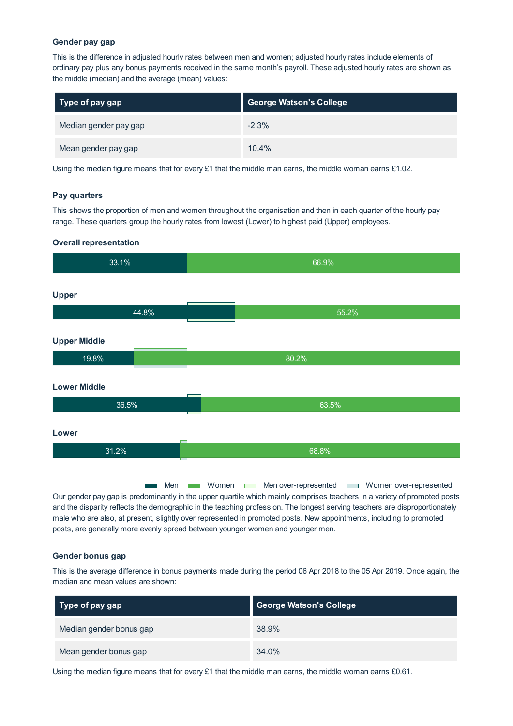#### **Gender pay gap**

This is the difference in adjusted hourly rates between men and women; adjusted hourly rates include elements of ordinary pay plus any bonus payments received in the same month's payroll. These adjusted hourly rates are shown as the middle (median) and the average (mean) values:

| $\vert$ Type of pay gap | <b>George Watson's College</b> |
|-------------------------|--------------------------------|
| Median gender pay gap   | $-2.3%$                        |
| Mean gender pay gap     | 10.4%                          |

Using the median figure means that for every  $£1$  that the middle man earns, the middle woman earns  $£1.02$ .

### **Pay quarters**

This shows the proportion of men and women throughout the organisation and then in each quarter of the hourly pay range. These quarters group the hourly rates from lowest (Lower) to highest paid (Upper) employees.

### **Overall representation**

| 33.1%                        | 66.9% |
|------------------------------|-------|
| Upper<br>44.8%               | 55.2% |
| <b>Upper Middle</b>          |       |
| 19.8%<br><b>Lower Middle</b> | 80.2% |
| 36.5%                        | 63.5% |
| Lower                        |       |
| 31.2%                        | 68.8% |

Men **Men Women** Men over-represented **Men** Women over-represented Our gender pay gap is predominantly in the upper quartile which mainly comprises teachers in a variety of promoted posts and the disparity reflects the demographic in the teaching profession. The longest serving teachers are disproportionately male who are also, at present, slightly over represented in promoted posts. New appointments, including to promoted posts, are generally more evenly spread between younger women and younger men.

#### **Gender bonus gap**

This is the average difference in bonus payments made during the period 06 Apr 2018 to the 05 Apr 2019. Once again, the median and mean values are shown:

| Type of pay gap         | <b>George Watson's College</b> |
|-------------------------|--------------------------------|
| Median gender bonus gap | 38.9%                          |
| Mean gender bonus gap   | 34.0%                          |

Using the median figure means that for every  $£1$  that the middle man earns, the middle woman earns  $£0.61$ .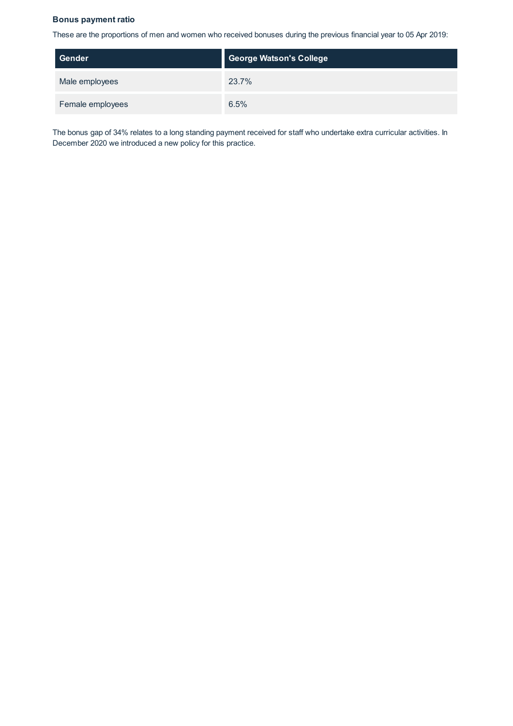## **Bonus payment ratio**

These are the proportions of men and women who received bonuses during the previous financial year to 05 Apr 2019:

| Gender           | <b>George Watson's College</b> |
|------------------|--------------------------------|
| Male employees   | 23.7%                          |
| Female employees | 6.5%                           |

The bonus gap of 34% relates to a long standing payment received for staff who undertake extra curricular activities. In December 2020 we introduced a new policy for this practice.